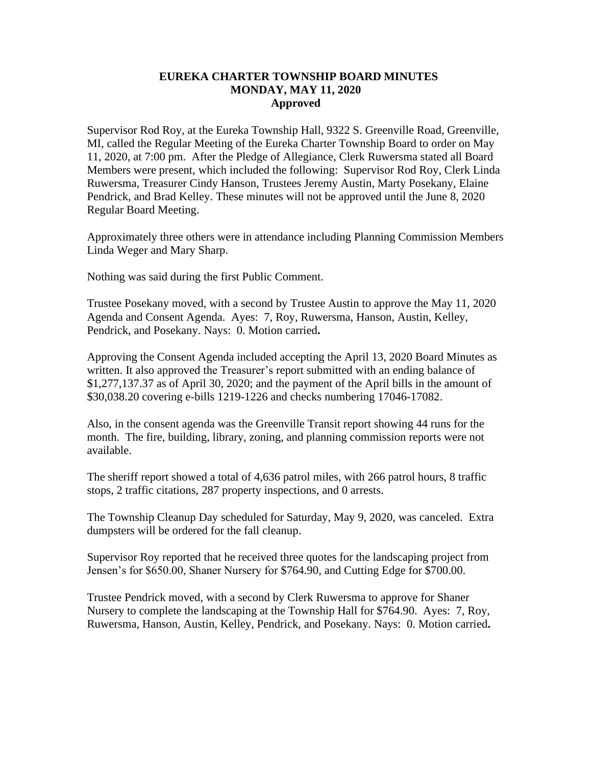## **EUREKA CHARTER TOWNSHIP BOARD MINUTES MONDAY, MAY 11, 2020 Approved**

Supervisor Rod Roy, at the Eureka Township Hall, 9322 S. Greenville Road, Greenville, MI, called the Regular Meeting of the Eureka Charter Township Board to order on May 11, 2020, at 7:00 pm. After the Pledge of Allegiance, Clerk Ruwersma stated all Board Members were present, which included the following: Supervisor Rod Roy, Clerk Linda Ruwersma, Treasurer Cindy Hanson, Trustees Jeremy Austin, Marty Posekany, Elaine Pendrick, and Brad Kelley. These minutes will not be approved until the June 8, 2020 Regular Board Meeting.

Approximately three others were in attendance including Planning Commission Members Linda Weger and Mary Sharp.

Nothing was said during the first Public Comment.

Trustee Posekany moved, with a second by Trustee Austin to approve the May 11, 2020 Agenda and Consent Agenda. Ayes: 7, Roy, Ruwersma, Hanson, Austin, Kelley, Pendrick, and Posekany. Nays: 0. Motion carried**.**

Approving the Consent Agenda included accepting the April 13, 2020 Board Minutes as written. It also approved the Treasurer's report submitted with an ending balance of \$1,277,137.37 as of April 30, 2020; and the payment of the April bills in the amount of \$30,038.20 covering e-bills 1219-1226 and checks numbering 17046-17082.

Also, in the consent agenda was the Greenville Transit report showing 44 runs for the month. The fire, building, library, zoning, and planning commission reports were not available.

The sheriff report showed a total of 4,636 patrol miles, with 266 patrol hours, 8 traffic stops, 2 traffic citations, 287 property inspections, and 0 arrests.

The Township Cleanup Day scheduled for Saturday, May 9, 2020, was canceled. Extra dumpsters will be ordered for the fall cleanup.

Supervisor Roy reported that he received three quotes for the landscaping project from Jensen's for \$650.00, Shaner Nursery for \$764.90, and Cutting Edge for \$700.00.

Trustee Pendrick moved, with a second by Clerk Ruwersma to approve for Shaner Nursery to complete the landscaping at the Township Hall for \$764.90. Ayes: 7, Roy, Ruwersma, Hanson, Austin, Kelley, Pendrick, and Posekany. Nays: 0. Motion carried**.**